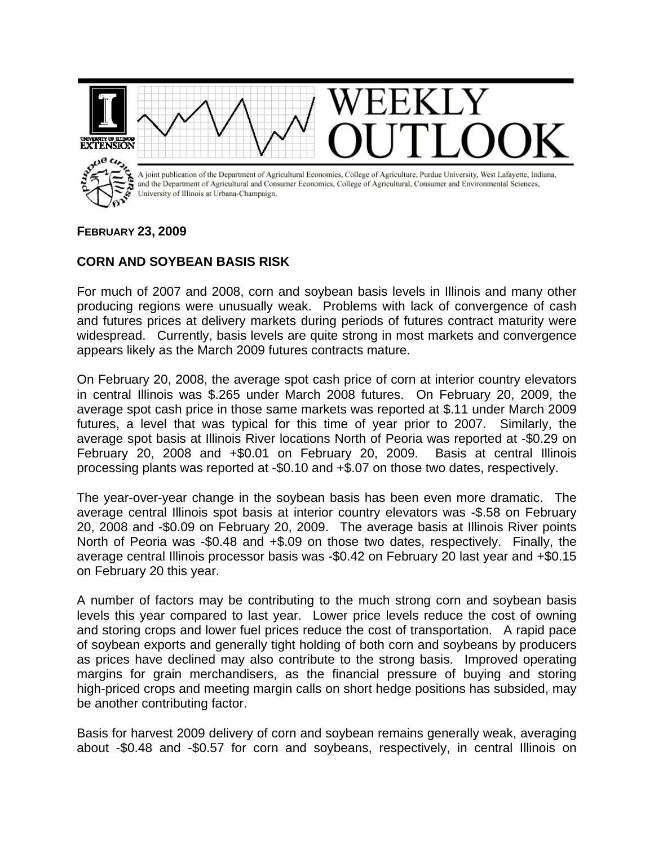

## **FEBRUARY 23, 2009**

## **CORN AND SOYBEAN BASIS RISK**

For much of 2007 and 2008, corn and soybean basis levels in Illinois and many other producing regions were unusually weak. Problems with lack of convergence of cash and futures prices at delivery markets during periods of futures contract maturity were widespread. Currently, basis levels are quite strong in most markets and convergence appears likely as the March 2009 futures contracts mature.

On February 20, 2008, the average spot cash price of corn at interior country elevators in central Illinois was \$.265 under March 2008 futures. On February 20, 2009, the average spot cash price in those same markets was reported at \$.11 under March 2009 futures, a level that was typical for this time of year prior to 2007. Similarly, the average spot basis at Illinois River locations North of Peoria was reported at -\$0.29 on February 20, 2008 and +\$0.01 on February 20, 2009. Basis at central Illinois processing plants was reported at -\$0.10 and +\$.07 on those two dates, respectively.

The year-over-year change in the soybean basis has been even more dramatic. The average central Illinois spot basis at interior country elevators was -\$.58 on February 20, 2008 and -\$0.09 on February 20, 2009. The average basis at Illinois River points North of Peoria was -\$0.48 and +\$.09 on those two dates, respectively. Finally, the average central Illinois processor basis was -\$0.42 on February 20 last year and +\$0.15 on February 20 this year.

A number of factors may be contributing to the much strong corn and soybean basis levels this year compared to last year. Lower price levels reduce the cost of owning and storing crops and lower fuel prices reduce the cost of transportation. A rapid pace of soybean exports and generally tight holding of both corn and soybeans by producers as prices have declined may also contribute to the strong basis. Improved operating margins for grain merchandisers, as the financial pressure of buying and storing high-priced crops and meeting margin calls on short hedge positions has subsided, may be another contributing factor.

Basis for harvest 2009 delivery of corn and soybean remains generally weak, averaging about -\$0.48 and -\$0.57 for corn and soybeans, respectively, in central Illinois on